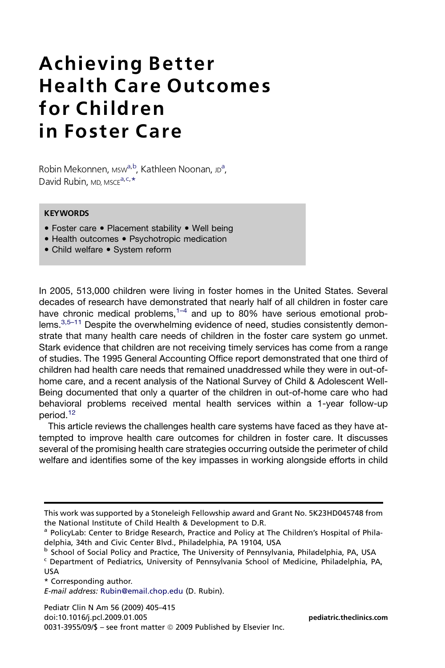# Achieving Better Health Care Outcomes for Children in Foster Care

Robin Mekonnen, msw<sup>a,b</sup>, Kathleen Noonan, JD<sup>a</sup>, David Rubin, MD, MSCE<sup>a, c, \*</sup>

# **KEYWORDS**

- Foster care Placement stability Well being
- Health outcomes Psychotropic medication
- Child welfare System reform

In 2005, 513,000 children were living in foster homes in the United States. Several decades of research have demonstrated that nearly half of all children in foster care have chronic medical problems, $1-4$  and up to 80% have serious emotional prob-lems.<sup>[3,5–11](#page-8-0)</sup> Despite the overwhelming evidence of need, studies consistently demonstrate that many health care needs of children in the foster care system go unmet. Stark evidence that children are not receiving timely services has come from a range of studies. The 1995 General Accounting Office report demonstrated that one third of children had health care needs that remained unaddressed while they were in out-ofhome care, and a recent analysis of the National Survey of Child & Adolescent Well-Being documented that only a quarter of the children in out-of-home care who had behavioral problems received mental health services within a 1-year follow-up period.<sup>[12](#page-9-0)</sup>

This article reviews the challenges health care systems have faced as they have attempted to improve health care outcomes for children in foster care. It discusses several of the promising health care strategies occurring outside the perimeter of child welfare and identifies some of the key impasses in working alongside efforts in child

Pediatr Clin N Am 56 (2009) 405–415 doi:10.1016/j.pcl.2009.01.005 [pediatric.theclinics.com](http://pediatric.theclinics.com) 0031-3955/09/\$ – see front matter  $\odot$  2009 Published by Elsevier Inc.

This work was supported by a Stoneleigh Fellowship award and Grant No. 5K23HD045748 from the National Institute of Child Health & Development to D.R.

a PolicyLab: Center to Bridge Research, Practice and Policy at The Children's Hospital of Philadelphia, 34th and Civic Center Blvd., Philadelphia, PA 19104, USA

b School of Social Policy and Practice, The University of Pennsylvania, Philadelphia, PA, USA

<sup>c</sup> Department of Pediatrics, University of Pennsylvania School of Medicine, Philadelphia, PA, USA

<sup>\*</sup> Corresponding author.

E-mail address: [Rubin@email.chop.edu](mailto:Rubin@email.chop.edu) (D. Rubin).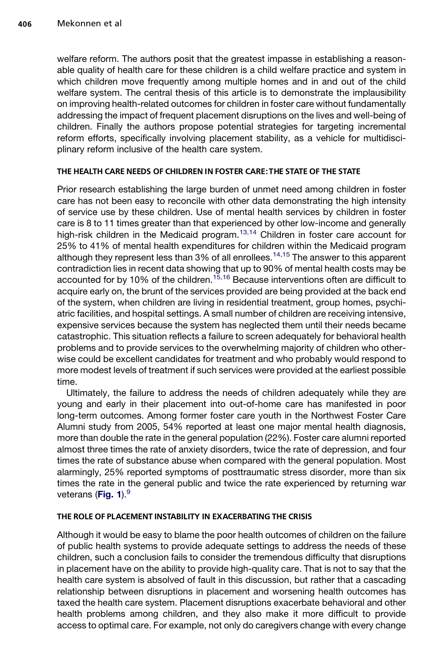welfare reform. The authors posit that the greatest impasse in establishing a reasonable quality of health care for these children is a child welfare practice and system in which children move frequently among multiple homes and in and out of the child welfare system. The central thesis of this article is to demonstrate the implausibility on improving health-related outcomes for children in foster care without fundamentally addressing the impact of frequent placement disruptions on the lives and well-being of children. Finally the authors propose potential strategies for targeting incremental reform efforts, specifically involving placement stability, as a vehicle for multidisciplinary reform inclusive of the health care system.

# THE HEALTH CARE NEEDS OF CHILDREN IN FOSTER CARE: THE STATE OF THE STATE

Prior research establishing the large burden of unmet need among children in foster care has not been easy to reconcile with other data demonstrating the high intensity of service use by these children. Use of mental health services by children in foster care is 8 to 11 times greater than that experienced by other low-income and generally high-risk children in the Medicaid program.<sup>[13,14](#page-9-0)</sup> Children in foster care account for 25% to 41% of mental health expenditures for children within the Medicaid program although they represent less than  $3\%$  of all enrollees.<sup>[14,15](#page-9-0)</sup> The answer to this apparent contradiction lies in recent data showing that up to 90% of mental health costs may be accounted for by 10% of the children.<sup>[15,16](#page-9-0)</sup> Because interventions often are difficult to acquire early on, the brunt of the services provided are being provided at the back end of the system, when children are living in residential treatment, group homes, psychiatric facilities, and hospital settings. A small number of children are receiving intensive, expensive services because the system has neglected them until their needs became catastrophic. This situation reflects a failure to screen adequately for behavioral health problems and to provide services to the overwhelming majority of children who otherwise could be excellent candidates for treatment and who probably would respond to more modest levels of treatment if such services were provided at the earliest possible time.

Ultimately, the failure to address the needs of children adequately while they are young and early in their placement into out-of-home care has manifested in poor long-term outcomes. Among former foster care youth in the Northwest Foster Care Alumni study from 2005, 54% reported at least one major mental health diagnosis, more than double the rate in the general population (22%). Foster care alumni reported almost three times the rate of anxiety disorders, twice the rate of depression, and four times the rate of substance abuse when compared with the general population. Most alarmingly, 25% reported symptoms of posttraumatic stress disorder, more than six times the rate in the general public and twice the rate experienced by returning war veterans (Fig.  $1$ ).  $9$ 

#### THE ROLE OF PLACEMENT INSTABILITY IN EXACERBATING THE CRISIS

Although it would be easy to blame the poor health outcomes of children on the failure of public health systems to provide adequate settings to address the needs of these children, such a conclusion fails to consider the tremendous difficulty that disruptions in placement have on the ability to provide high-quality care. That is not to say that the health care system is absolved of fault in this discussion, but rather that a cascading relationship between disruptions in placement and worsening health outcomes has taxed the health care system. Placement disruptions exacerbate behavioral and other health problems among children, and they also make it more difficult to provide access to optimal care. For example, not only do caregivers change with every change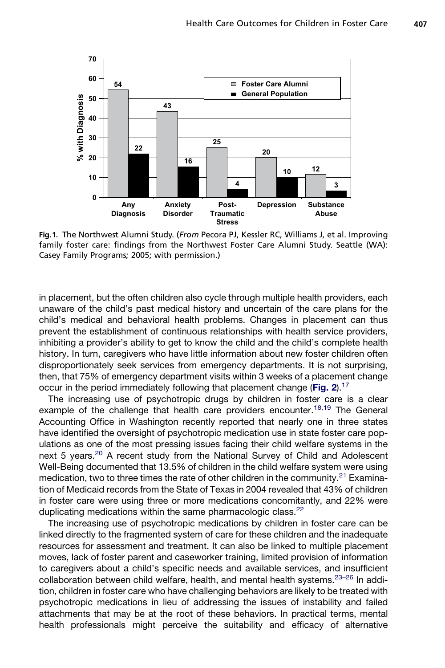<span id="page-2-0"></span>

Fig.1. The Northwest Alumni Study. (From Pecora PJ, Kessler RC, Williams J, et al. Improving family foster care: findings from the Northwest Foster Care Alumni Study. Seattle (WA): Casey Family Programs; 2005; with permission.)

in placement, but the often children also cycle through multiple health providers, each unaware of the child's past medical history and uncertain of the care plans for the child's medical and behavioral health problems. Changes in placement can thus prevent the establishment of continuous relationships with health service providers, inhibiting a provider's ability to get to know the child and the child's complete health history. In turn, caregivers who have little information about new foster children often disproportionately seek services from emergency departments. It is not surprising, then, that 75% of emergency department visits within 3 weeks of a placement change occur in the period immediately following that placement change ([Fig. 2](#page-3-0)).<sup>[17](#page-9-0)</sup>

The increasing use of psychotropic drugs by children in foster care is a clear example of the challenge that health care providers encounter.<sup>[18,19](#page-9-0)</sup> The General Accounting Office in Washington recently reported that nearly one in three states have identified the oversight of psychotropic medication use in state foster care populations as one of the most pressing issues facing their child welfare systems in the next 5 years.<sup>[20](#page-9-0)</sup> A recent study from the National Survey of Child and Adolescent Well-Being documented that 13.5% of children in the child welfare system were using medication, two to three times the rate of other children in the community. $^{21}$  $^{21}$  $^{21}$  Examination of Medicaid records from the State of Texas in 2004 revealed that 43% of children in foster care were using three or more medications concomitantly, and 22% were duplicating medications within the same pharmacologic class.<sup>[22](#page-9-0)</sup>

The increasing use of psychotropic medications by children in foster care can be linked directly to the fragmented system of care for these children and the inadequate resources for assessment and treatment. It can also be linked to multiple placement moves, lack of foster parent and caseworker training, limited provision of information to caregivers about a child's specific needs and available services, and insufficient collaboration between child welfare, health, and mental health systems.<sup>23-26</sup> In addition, children in foster care who have challenging behaviors are likely to be treated with psychotropic medications in lieu of addressing the issues of instability and failed attachments that may be at the root of these behaviors. In practical terms, mental health professionals might perceive the suitability and efficacy of alternative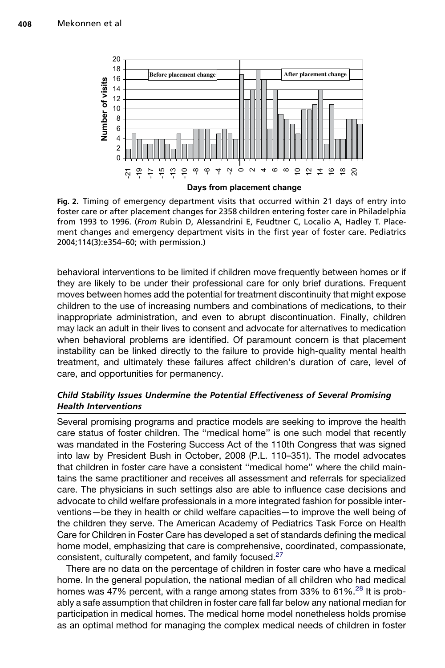<span id="page-3-0"></span>

Fig. 2. Timing of emergency department visits that occurred within 21 days of entry into foster care or after placement changes for 2358 children entering foster care in Philadelphia from 1993 to 1996. (From Rubin D, Alessandrini E, Feudtner C, Localio A, Hadley T. Placement changes and emergency department visits in the first year of foster care. Pediatrics 2004;114(3):e354–60; with permission.)

behavioral interventions to be limited if children move frequently between homes or if they are likely to be under their professional care for only brief durations. Frequent moves between homes add the potential for treatment discontinuity that might expose children to the use of increasing numbers and combinations of medications, to their inappropriate administration, and even to abrupt discontinuation. Finally, children may lack an adult in their lives to consent and advocate for alternatives to medication when behavioral problems are identified. Of paramount concern is that placement instability can be linked directly to the failure to provide high-quality mental health treatment, and ultimately these failures affect children's duration of care, level of care, and opportunities for permanency.

# Child Stability Issues Undermine the Potential Effectiveness of Several Promising Health Interventions

Several promising programs and practice models are seeking to improve the health care status of foster children. The ''medical home'' is one such model that recently was mandated in the Fostering Success Act of the 110th Congress that was signed into law by President Bush in October, 2008 (P.L. 110–351). The model advocates that children in foster care have a consistent ''medical home'' where the child maintains the same practitioner and receives all assessment and referrals for specialized care. The physicians in such settings also are able to influence case decisions and advocate to child welfare professionals in a more integrated fashion for possible interventions—be they in health or child welfare capacities—to improve the well being of the children they serve. The American Academy of Pediatrics Task Force on Health Care for Children in Foster Care has developed a set of standards defining the medical home model, emphasizing that care is comprehensive, coordinated, compassionate, consistent, culturally competent, and family focused.[27](#page-9-0)

There are no data on the percentage of children in foster care who have a medical home. In the general population, the national median of all children who had medical homes was 47% percent, with a range among states from 33% to 61%.<sup>28</sup> It is probably a safe assumption that children in foster care fall far below any national median for participation in medical homes. The medical home model nonetheless holds promise as an optimal method for managing the complex medical needs of children in foster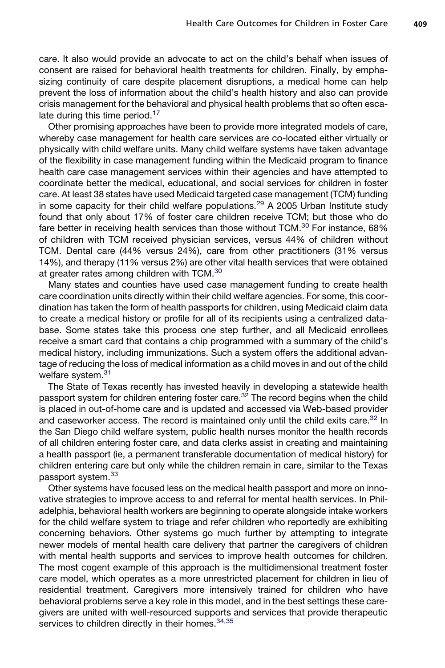care. It also would provide an advocate to act on the child's behalf when issues of consent are raised for behavioral health treatments for children. Finally, by emphasizing continuity of care despite placement disruptions, a medical home can help prevent the loss of information about the child's health history and also can provide crisis management for the behavioral and physical health problems that so often esca-late during this time period.<sup>[17](#page-9-0)</sup>

Other promising approaches have been to provide more integrated models of care, whereby case management for health care services are co-located either virtually or physically with child welfare units. Many child welfare systems have taken advantage of the flexibility in case management funding within the Medicaid program to finance health care case management services within their agencies and have attempted to coordinate better the medical, educational, and social services for children in foster care. At least 38 states have used Medicaid targeted case management (TCM) funding in some capacity for their child welfare populations.<sup>[29](#page-9-0)</sup> A 2005 Urban Institute study found that only about 17% of foster care children receive TCM; but those who do fare better in receiving health services than those without TCM.<sup>[30](#page-9-0)</sup> For instance, 68% of children with TCM received physician services, versus 44% of children without TCM. Dental care (44% versus 24%), care from other practitioners (31% versus 14%), and therapy (11% versus 2%) are other vital health services that were obtained at greater rates among children with TCM.<sup>[30](#page-9-0)</sup>

Many states and counties have used case management funding to create health care coordination units directly within their child welfare agencies. For some, this coordination has taken the form of health passports for children, using Medicaid claim data to create a medical history or profile for all of its recipients using a centralized database. Some states take this process one step further, and all Medicaid enrollees receive a smart card that contains a chip programmed with a summary of the child's medical history, including immunizations. Such a system offers the additional advantage of reducing the loss of medical information as a child moves in and out of the child welfare system.<sup>[31](#page-9-0)</sup>

The State of Texas recently has invested heavily in developing a statewide health passport system for children entering foster care.<sup>[32](#page-10-0)</sup> The record begins when the child is placed in out-of-home care and is updated and accessed via Web-based provider and caseworker access. The record is maintained only until the child exits care. $32$  In the San Diego child welfare system, public health nurses monitor the health records of all children entering foster care, and data clerks assist in creating and maintaining a health passport (ie, a permanent transferable documentation of medical history) for children entering care but only while the children remain in care, similar to the Texas passport system.<sup>[33](#page-10-0)</sup>

Other systems have focused less on the medical health passport and more on innovative strategies to improve access to and referral for mental health services. In Philadelphia, behavioral health workers are beginning to operate alongside intake workers for the child welfare system to triage and refer children who reportedly are exhibiting concerning behaviors. Other systems go much further by attempting to integrate newer models of mental health care delivery that partner the caregivers of children with mental health supports and services to improve health outcomes for children. The most cogent example of this approach is the multidimensional treatment foster care model, which operates as a more unrestricted placement for children in lieu of residential treatment. Caregivers more intensively trained for children who have behavioral problems serve a key role in this model, and in the best settings these caregivers are united with well-resourced supports and services that provide therapeutic services to children directly in their homes. [34,35](#page-10-0)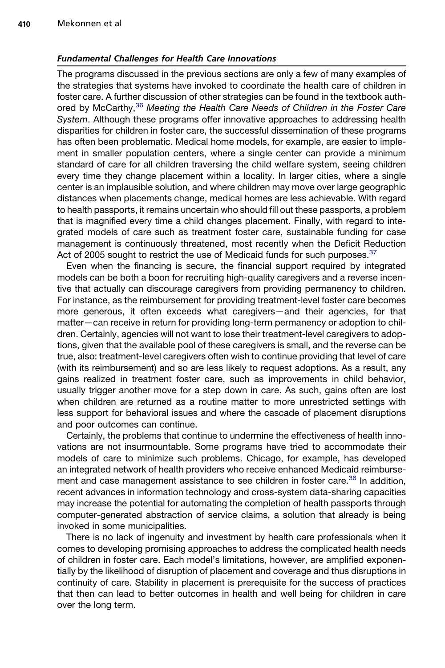## Fundamental Challenges for Health Care Innovations

The programs discussed in the previous sections are only a few of many examples of the strategies that systems have invoked to coordinate the health care of children in foster care. A further discussion of other strategies can be found in the textbook authored by McCarthy,[36](#page-10-0) *Meeting the Health Care Needs of Children in the Foster Care System*. Although these programs offer innovative approaches to addressing health disparities for children in foster care, the successful dissemination of these programs has often been problematic. Medical home models, for example, are easier to implement in smaller population centers, where a single center can provide a minimum standard of care for all children traversing the child welfare system, seeing children every time they change placement within a locality. In larger cities, where a single center is an implausible solution, and where children may move over large geographic distances when placements change, medical homes are less achievable. With regard to health passports, it remains uncertain who should fill out these passports, a problem that is magnified every time a child changes placement. Finally, with regard to integrated models of care such as treatment foster care, sustainable funding for case management is continuously threatened, most recently when the Deficit Reduction Act of 2005 sought to restrict the use of Medicaid funds for such purposes.  $37$ 

Even when the financing is secure, the financial support required by integrated models can be both a boon for recruiting high-quality caregivers and a reverse incentive that actually can discourage caregivers from providing permanency to children. For instance, as the reimbursement for providing treatment-level foster care becomes more generous, it often exceeds what caregivers—and their agencies, for that matter—can receive in return for providing long-term permanency or adoption to children. Certainly, agencies will not want to lose their treatment-level caregivers to adoptions, given that the available pool of these caregivers is small, and the reverse can be true, also: treatment-level caregivers often wish to continue providing that level of care (with its reimbursement) and so are less likely to request adoptions. As a result, any gains realized in treatment foster care, such as improvements in child behavior, usually trigger another move for a step down in care. As such, gains often are lost when children are returned as a routine matter to more unrestricted settings with less support for behavioral issues and where the cascade of placement disruptions and poor outcomes can continue.

Certainly, the problems that continue to undermine the effectiveness of health innovations are not insurmountable. Some programs have tried to accommodate their models of care to minimize such problems. Chicago, for example, has developed an integrated network of health providers who receive enhanced Medicaid reimburse-ment and case management assistance to see children in foster care.<sup>[36](#page-10-0)</sup> In addition, recent advances in information technology and cross-system data-sharing capacities may increase the potential for automating the completion of health passports through computer-generated abstraction of service claims, a solution that already is being invoked in some municipalities.

There is no lack of ingenuity and investment by health care professionals when it comes to developing promising approaches to address the complicated health needs of children in foster care. Each model's limitations, however, are amplified exponentially by the likelihood of disruption of placement and coverage and thus disruptions in continuity of care. Stability in placement is prerequisite for the success of practices that then can lead to better outcomes in health and well being for children in care over the long term.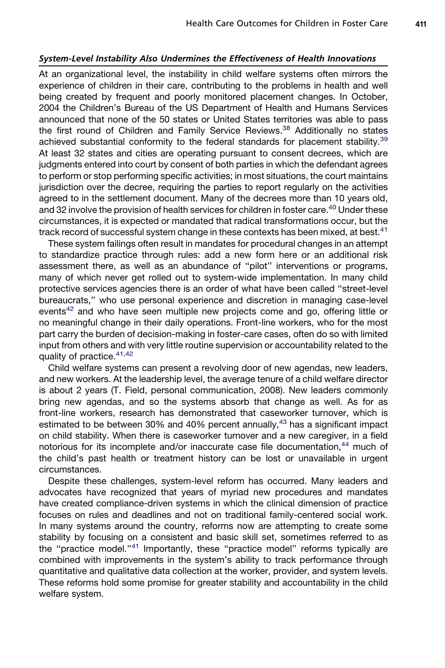#### System-Level Instability Also Undermines the Effectiveness of Health Innovations

At an organizational level, the instability in child welfare systems often mirrors the experience of children in their care, contributing to the problems in health and well being created by frequent and poorly monitored placement changes. In October, 2004 the Children's Bureau of the US Department of Health and Humans Services announced that none of the 50 states or United States territories was able to pass the first round of Children and Family Service Reviews.<sup>[38](#page-10-0)</sup> Additionally no states achieved substantial conformity to the federal standards for placement stability.<sup>[39](#page-10-0)</sup> At least 32 states and cities are operating pursuant to consent decrees, which are judgments entered into court by consent of both parties in which the defendant agrees to perform or stop performing specific activities; in most situations, the court maintains jurisdiction over the decree, requiring the parties to report regularly on the activities agreed to in the settlement document. Many of the decrees more than 10 years old, and 32 involve the provision of health services for children in foster care.<sup>[40](#page-10-0)</sup> Under these circumstances, it is expected or mandated that radical transformations occur, but the track record of successful system change in these contexts has been mixed, at best.<sup>[41](#page-10-0)</sup>

These system failings often result in mandates for procedural changes in an attempt to standardize practice through rules: add a new form here or an additional risk assessment there, as well as an abundance of ''pilot'' interventions or programs, many of which never get rolled out to system-wide implementation. In many child protective services agencies there is an order of what have been called ''street-level bureaucrats,'' who use personal experience and discretion in managing case-level events<sup>[42](#page-10-0)</sup> and who have seen multiple new projects come and go, offering little or no meaningful change in their daily operations. Front-line workers, who for the most part carry the burden of decision-making in foster-care cases, often do so with limited input from others and with very little routine supervision or accountability related to the quality of practice.<sup>[41,42](#page-10-0)</sup>

Child welfare systems can present a revolving door of new agendas, new leaders, and new workers. At the leadership level, the average tenure of a child welfare director is about 2 years (T. Field, personal communication, 2008). New leaders commonly bring new agendas, and so the systems absorb that change as well. As for as front-line workers, research has demonstrated that caseworker turnover, which is estimated to be between 30% and 40% percent annually, $43$  has a significant impact on child stability. When there is caseworker turnover and a new caregiver, in a field notorious for its incomplete and/or inaccurate case file documentation,<sup>[44](#page-10-0)</sup> much of the child's past health or treatment history can be lost or unavailable in urgent circumstances.

Despite these challenges, system-level reform has occurred. Many leaders and advocates have recognized that years of myriad new procedures and mandates have created compliance-driven systems in which the clinical dimension of practice focuses on rules and deadlines and not on traditional family-centered social work. In many systems around the country, reforms now are attempting to create some stability by focusing on a consistent and basic skill set, sometimes referred to as the "practice model."<sup>[41](#page-10-0)</sup> Importantly, these "practice model" reforms typically are combined with improvements in the system's ability to track performance through quantitative and qualitative data collection at the worker, provider, and system levels. These reforms hold some promise for greater stability and accountability in the child welfare system.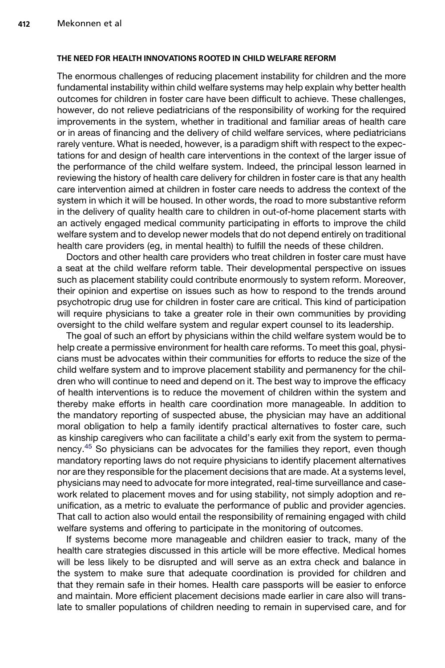#### THE NEED FOR HEALTH INNOVATIONS ROOTED IN CHILD WELFARE REFORM

The enormous challenges of reducing placement instability for children and the more fundamental instability within child welfare systems may help explain why better health outcomes for children in foster care have been difficult to achieve. These challenges, however, do not relieve pediatricians of the responsibility of working for the required improvements in the system, whether in traditional and familiar areas of health care or in areas of financing and the delivery of child welfare services, where pediatricians rarely venture. What is needed, however, is a paradigm shift with respect to the expectations for and design of health care interventions in the context of the larger issue of the performance of the child welfare system. Indeed, the principal lesson learned in reviewing the history of health care delivery for children in foster care is that any health care intervention aimed at children in foster care needs to address the context of the system in which it will be housed. In other words, the road to more substantive reform in the delivery of quality health care to children in out-of-home placement starts with an actively engaged medical community participating in efforts to improve the child welfare system and to develop newer models that do not depend entirely on traditional health care providers (eg, in mental health) to fulfill the needs of these children.

Doctors and other health care providers who treat children in foster care must have a seat at the child welfare reform table. Their developmental perspective on issues such as placement stability could contribute enormously to system reform. Moreover, their opinion and expertise on issues such as how to respond to the trends around psychotropic drug use for children in foster care are critical. This kind of participation will require physicians to take a greater role in their own communities by providing oversight to the child welfare system and regular expert counsel to its leadership.

The goal of such an effort by physicians within the child welfare system would be to help create a permissive environment for health care reforms. To meet this goal, physicians must be advocates within their communities for efforts to reduce the size of the child welfare system and to improve placement stability and permanency for the children who will continue to need and depend on it. The best way to improve the efficacy of health interventions is to reduce the movement of children within the system and thereby make efforts in health care coordination more manageable. In addition to the mandatory reporting of suspected abuse, the physician may have an additional moral obligation to help a family identify practical alternatives to foster care, such as kinship caregivers who can facilitate a child's early exit from the system to permanency[.45](#page-10-0) So physicians can be advocates for the families they report, even though mandatory reporting laws do not require physicians to identify placement alternatives nor are they responsible for the placement decisions that are made. At a systems level, physicians may need to advocate for more integrated, real-time surveillance and casework related to placement moves and for using stability, not simply adoption and reunification, as a metric to evaluate the performance of public and provider agencies. That call to action also would entail the responsibility of remaining engaged with child welfare systems and offering to participate in the monitoring of outcomes.

If systems become more manageable and children easier to track, many of the health care strategies discussed in this article will be more effective. Medical homes will be less likely to be disrupted and will serve as an extra check and balance in the system to make sure that adequate coordination is provided for children and that they remain safe in their homes. Health care passports will be easier to enforce and maintain. More efficient placement decisions made earlier in care also will translate to smaller populations of children needing to remain in supervised care, and for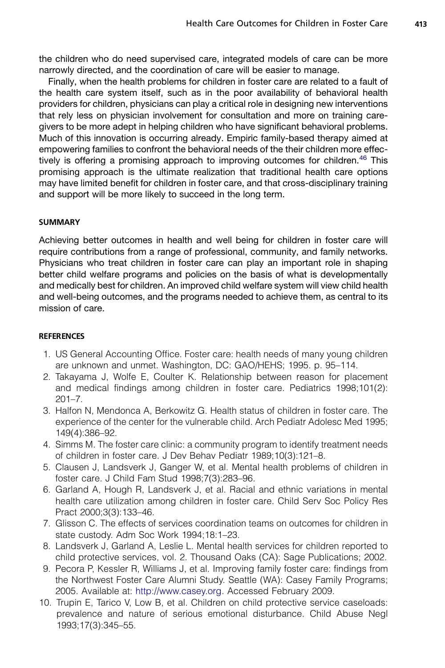<span id="page-8-0"></span>the children who do need supervised care, integrated models of care can be more narrowly directed, and the coordination of care will be easier to manage.

Finally, when the health problems for children in foster care are related to a fault of the health care system itself, such as in the poor availability of behavioral health providers for children, physicians can play a critical role in designing new interventions that rely less on physician involvement for consultation and more on training caregivers to be more adept in helping children who have significant behavioral problems. Much of this innovation is occurring already. Empiric family-based therapy aimed at empowering families to confront the behavioral needs of the their children more effec-tively is offering a promising approach to improving outcomes for children.<sup>[46](#page-10-0)</sup> This promising approach is the ultimate realization that traditional health care options may have limited benefit for children in foster care, and that cross-disciplinary training and support will be more likely to succeed in the long term.

## **SUMMARY**

Achieving better outcomes in health and well being for children in foster care will require contributions from a range of professional, community, and family networks. Physicians who treat children in foster care can play an important role in shaping better child welfare programs and policies on the basis of what is developmentally and medically best for children. An improved child welfare system will view child health and well-being outcomes, and the programs needed to achieve them, as central to its mission of care.

#### **REFERENCES**

- 1. US General Accounting Office. Foster care: health needs of many young children are unknown and unmet. Washington, DC: GAO/HEHS; 1995. p. 95–114.
- 2. Takayama J, Wolfe E, Coulter K. Relationship between reason for placement and medical findings among children in foster care. Pediatrics 1998;101(2): 201–7.
- 3. Halfon N, Mendonca A, Berkowitz G. Health status of children in foster care. The experience of the center for the vulnerable child. Arch Pediatr Adolesc Med 1995; 149(4):386–92.
- 4. Simms M. The foster care clinic: a community program to identify treatment needs of children in foster care. J Dev Behav Pediatr 1989;10(3):121–8.
- 5. Clausen J, Landsverk J, Ganger W, et al. Mental health problems of children in foster care. J Child Fam Stud 1998;7(3):283–96.
- 6. Garland A, Hough R, Landsverk J, et al. Racial and ethnic variations in mental health care utilization among children in foster care. Child Serv Soc Policy Res Pract 2000;3(3):133–46.
- 7. Glisson C. The effects of services coordination teams on outcomes for children in state custody. Adm Soc Work 1994;18:1–23.
- 8. Landsverk J, Garland A, Leslie L. Mental health services for children reported to child protective services, vol. 2. Thousand Oaks (CA): Sage Publications; 2002.
- 9. Pecora P, Kessler R, Williams J, et al. Improving family foster care: findings from the Northwest Foster Care Alumni Study. Seattle (WA): Casey Family Programs; 2005. Available at: <http://www.casey.org>. Accessed February 2009.
- 10. Trupin E, Tarico V, Low B, et al. Children on child protective service caseloads: prevalence and nature of serious emotional disturbance. Child Abuse Negl 1993;17(3):345–55.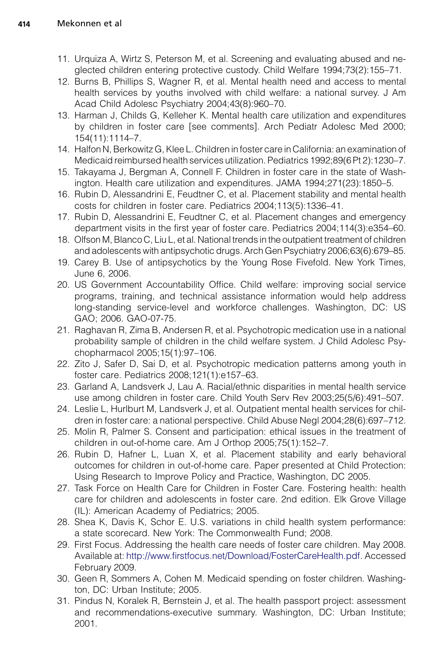- <span id="page-9-0"></span>11. Urquiza A, Wirtz S, Peterson M, et al. Screening and evaluating abused and neglected children entering protective custody. Child Welfare 1994;73(2):155–71.
- 12. Burns B, Phillips S, Wagner R, et al. Mental health need and access to mental health services by youths involved with child welfare: a national survey. J Am Acad Child Adolesc Psychiatry 2004;43(8):960–70.
- 13. Harman J, Childs G, Kelleher K. Mental health care utilization and expenditures by children in foster care [see comments]. Arch Pediatr Adolesc Med 2000; 154(11):1114–7.
- 14. Halfon N, Berkowitz G, Klee L. Children in foster care in California: an examination of Medicaid reimbursed health services utilization. Pediatrics 1992;89(6 Pt 2):1230–7.
- 15. Takayama J, Bergman A, Connell F. Children in foster care in the state of Washington. Health care utilization and expenditures. JAMA 1994;271(23):1850–5.
- 16. Rubin D, Alessandrini E, Feudtner C, et al. Placement stability and mental health costs for children in foster care. Pediatrics 2004;113(5):1336–41.
- 17. Rubin D, Alessandrini E, Feudtner C, et al. Placement changes and emergency department visits in the first year of foster care. Pediatrics 2004;114(3):e354–60.
- 18. Olfson M, Blanco C, Liu L, et al. National trends in the outpatient treatment of children and adolescents with antipsychotic drugs. Arch Gen Psychiatry 2006;63(6):679–85.
- 19. Carey B. Use of antipsychotics by the Young Rose Fivefold. New York Times, June 6, 2006.
- 20. US Government Accountability Office. Child welfare: improving social service programs, training, and technical assistance information would help address long-standing service-level and workforce challenges. Washington, DC: US GAO; 2006. GAO-07-75.
- 21. Raghavan R, Zima B, Andersen R, et al. Psychotropic medication use in a national probability sample of children in the child welfare system. J Child Adolesc Psychopharmacol 2005;15(1):97–106.
- 22. Zito J, Safer D, Sai D, et al. Psychotropic medication patterns among youth in foster care. Pediatrics 2008;121(1):e157–63.
- 23. Garland A, Landsverk J, Lau A. Racial/ethnic disparities in mental health service use among children in foster care. Child Youth Serv Rev 2003;25(5/6):491–507.
- 24. Leslie L, Hurlburt M, Landsverk J, et al. Outpatient mental health services for children in foster care: a national perspective. Child Abuse Negl 2004;28(6):697–712.
- 25. Molin R, Palmer S. Consent and participation: ethical issues in the treatment of children in out-of-home care. Am J Orthop 2005;75(1):152–7.
- 26. Rubin D, Hafner L, Luan X, et al. Placement stability and early behavioral outcomes for children in out-of-home care. Paper presented at Child Protection: Using Research to Improve Policy and Practice, Washington, DC 2005.
- 27. Task Force on Health Care for Children in Foster Care. Fostering health: health care for children and adolescents in foster care. 2nd edition. Elk Grove Village (IL): American Academy of Pediatrics; 2005.
- 28. Shea K, Davis K, Schor E. U.S. variations in child health system performance: a state scorecard. New York: The Commonwealth Fund; 2008.
- 29. First Focus. Addressing the health care needs of foster care children. May 2008. Available at: [http://www.firstfocus.net/Download/FosterCareHealth.pdf.](http://www.firstfocus.net/Download/FosterCareHealth.pdf) Accessed February 2009.
- 30. Geen R, Sommers A, Cohen M. Medicaid spending on foster children. Washington, DC: Urban Institute; 2005.
- 31. Pindus N, Koralek R, Bernstein J, et al. The health passport project: assessment and recommendations-executive summary. Washington, DC: Urban Institute; 2001.